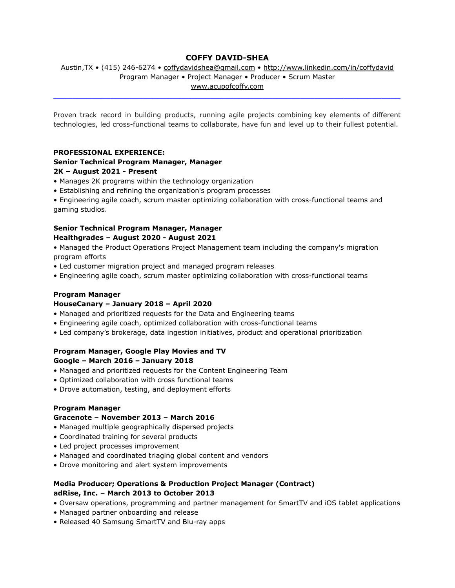# **COFFY DAVID-SHEA**

## Austin, TX • (415) 246-6274 • coffydavidshea@qmail.com • <http://www.linkedin.com/in/coffydavid> Program Manager • Project Manager • Producer • Scrum Master [www.acupofcoffy.com](http://www.acupofcoffy.com)

**\_\_\_\_\_\_\_\_\_\_\_\_\_\_\_\_\_\_\_\_\_\_\_\_\_\_\_\_\_\_\_\_\_\_\_\_\_\_\_\_\_\_\_\_\_\_\_\_\_\_\_\_\_\_\_\_\_\_\_\_\_\_\_\_\_\_\_\_\_\_\_\_\_**

Proven track record in building products, running agile projects combining key elements of different technologies, led cross-functional teams to collaborate, have fun and level up to their fullest potential.

#### **PROFESSIONAL EXPERIENCE:**

#### **Senior Technical Program Manager, Manager 2K – August 2021 - Present**

- Manages 2K programs within the technology organization
- Establishing and refining the organization's program processes

• Engineering agile coach, scrum master optimizing collaboration with cross-functional teams and gaming studios.

# **Senior Technical Program Manager, Manager Healthgrades – August 2020 - August 2021**

• Managed the Product Operations Project Management team including the company's migration program efforts

- Led customer migration project and managed program releases
- Engineering agile coach, scrum master optimizing collaboration with cross-functional teams

## **Program Manager**

#### **HouseCanary – January 2018 – April 2020**

- Managed and prioritized requests for the Data and Engineering teams
- Engineering agile coach, optimized collaboration with cross-functional teams
- Led company's brokerage, data ingestion initiatives, product and operational prioritization

### **Program Manager, Google Play Movies and TV Google – March 2016 – January 2018**

- Managed and prioritized requests for the Content Engineering Team
- Optimized collaboration with cross functional teams
- Drove automation, testing, and deployment efforts

## **Program Manager**

#### **Gracenote – November 2013 – March 2016**

- Managed multiple geographically dispersed projects
- Coordinated training for several products
- Led project processes improvement
- Managed and coordinated triaging global content and vendors
- Drove monitoring and alert system improvements

# **Media Producer; Operations & Production Project Manager (Contract) adRise, Inc. – March 2013 to October 2013**

- Oversaw operations, programming and partner management for SmartTV and iOS tablet applications
- Managed partner onboarding and release
- Released 40 Samsung SmartTV and Blu-ray apps